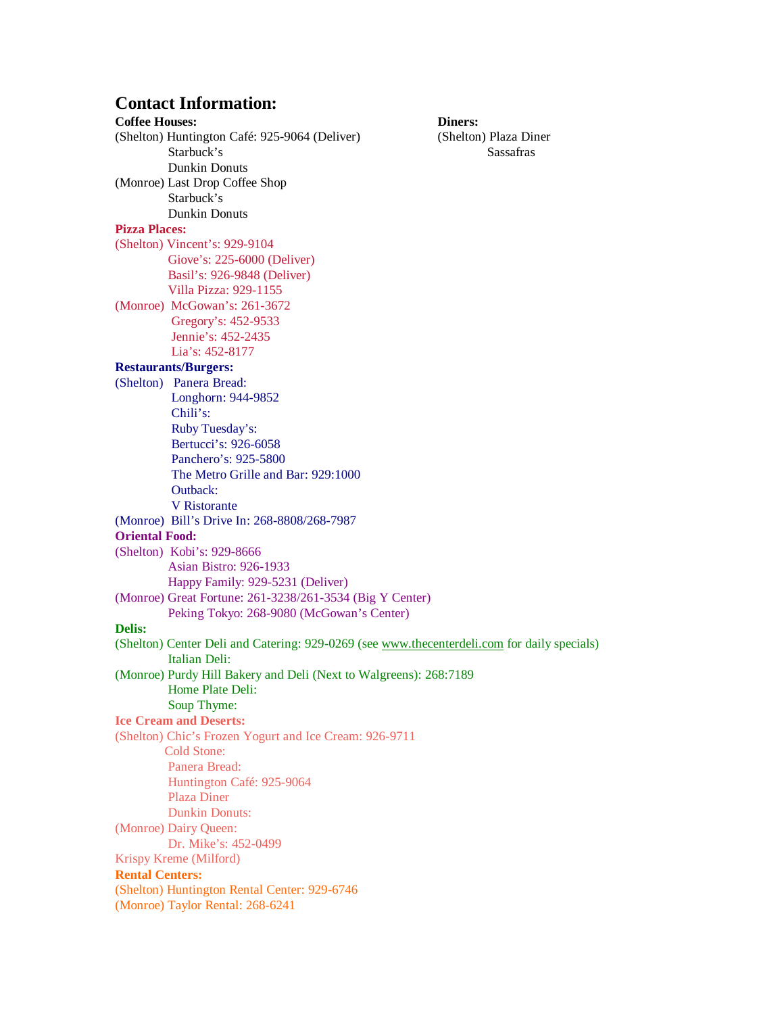## **Contact Information:**

**Coffee Houses: Diners:** (Shelton) Huntington Café: 925-9064 (Deliver) (Shelton) Plaza Diner Starbuck's Sassafras Dunkin Donuts (Monroe) Last Drop Coffee Shop Starbuck's Dunkin Donuts **Pizza Places:**  (Shelton) Vincent's: 929-9104 Giove's: 225-6000 (Deliver) Basil's: 926-9848 (Deliver) Villa Pizza: 929-1155 (Monroe) McGowan's: 261-3672 Gregory's: 452-9533 Jennie's: 452-2435 Lia's: 452-8177 **Restaurants/Burgers:** (Shelton) Panera Bread: Longhorn: 944-9852 Chili's: Ruby Tuesday's: Bertucci's: 926-6058 Panchero's: 925-5800 The Metro Grille and Bar: 929:1000 Outback: V Ristorante (Monroe) Bill's Drive In: 268-8808/268-7987 **Oriental Food:** (Shelton) Kobi's: 929-8666 Asian Bistro: 926-1933 Happy Family: 929-5231 (Deliver) (Monroe) Great Fortune: 261-3238/261-3534 (Big Y Center) Peking Tokyo: 268-9080 (McGowan's Center) **Delis:** (Shelton) Center Deli and Catering: 929-0269 (see www.thecenterdeli.com for daily specials) Italian Deli: (Monroe) Purdy Hill Bakery and Deli (Next to Walgreens): 268:7189 Home Plate Deli: Soup Thyme: **Ice Cream and Deserts:** (Shelton) Chic's Frozen Yogurt and Ice Cream: 926-9711 Cold Stone: Panera Bread: Huntington Café: 925-9064 Plaza Diner Dunkin Donuts: (Monroe) Dairy Queen: Dr. Mike's: 452-0499 Krispy Kreme (Milford) **Rental Centers:** (Shelton) Huntington Rental Center: 929-6746 (Monroe) Taylor Rental: 268-6241